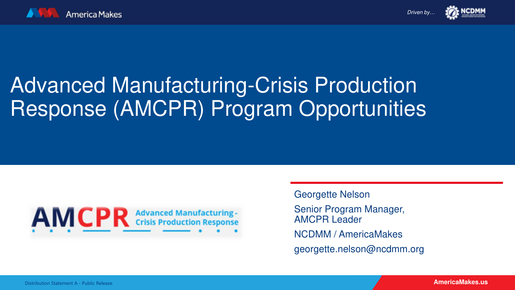



# Advanced Manufacturing-Crisis Production Response (AMCPR) Program Opportunities



Georgette Nelson

Senior Program Manager, AMCPR Leader NCDMM / AmericaMakes georgette.nelson@ncdmm.org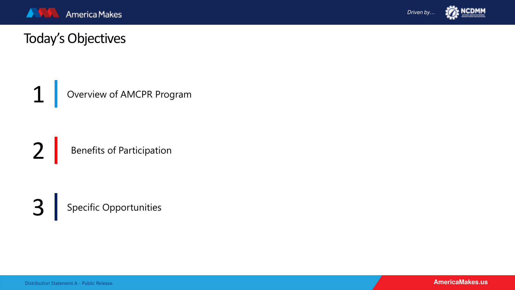



# Today's Objectives

1 Overview of AMCPR Program

2 Benefits of Participation

3 Specific Opportunities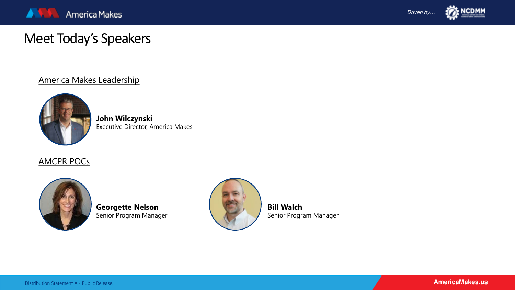



# Meet Today's Speakers

### America Makes Leadership



**John Wilczynski** Executive Director, America Makes

### AMCPR POCs



**Georgette Nelson** Senior Program Manager



**Bill Walch** Senior Program Manager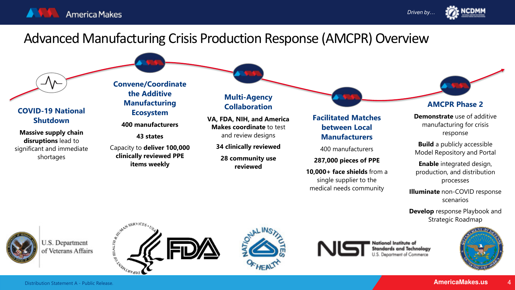



# Advanced Manufacturing Crisis Production Response (AMCPR) Overview

### **COVID-19 National Shutdown**

**Massive supply chain disruptions** lead to significant and immediate shortages

**Convene/Coordinate the Additive Manufacturing Ecosystem** 

**400 manufacturers**

**43 states**

Capacity to **deliver 100,000 clinically reviewed PPE items weekly**

**Multi-Agency Collaboration**

**VA, FDA, NIH, and America Makes coordinate** to test and review designs

**34 clinically reviewed** 

**28 community use reviewed** 

### **Facilitated Matches between Local Manufacturers**

400 manufacturers

**287,000 pieces of PPE**

**10,000+ face shields** from a single supplier to the medical needs community



**AMCPR Phase 2**

**Demonstrate** use of additive manufacturing for crisis response

**Build** a publicly accessible Model Repository and Portal

**Enable** integrated design, production, and distribution processes

**Illuminate** non-COVID response scenarios

**Develop** response Playbook and Strategic Roadmap



U.S. Department of Veterans Affairs











4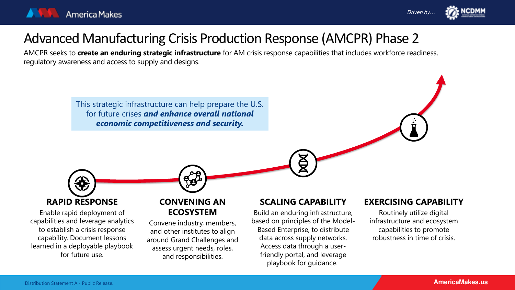



# Advanced Manufacturing Crisis Production Response (AMCPR) Phase 2

AMCPR seeks to **create an enduring strategic infrastructure** for AM crisis response capabilities that includes workforce readiness, regulatory awareness and access to supply and designs.

> This strategic infrastructure can help prepare the U.S. for future crises *and enhance overall national economic competitiveness and security.*



Enable rapid deployment of capabilities and leverage analytics to establish a crisis response capability. Document lessons learned in a deployable playbook for future use.

### **CONVENING AN ECOSYSTEM**

Convene industry, members, and other institutes to align around Grand Challenges and assess urgent needs, roles, and responsibilities.

### **SCALING CAPABILITY**

Build an enduring infrastructure, based on principles of the Model-Based Enterprise, to distribute data across supply networks. Access data through a userfriendly portal, and leverage playbook for guidance.

### **EXERCISING CAPABILITY**

Routinely utilize digital infrastructure and ecosystem capabilities to promote robustness in time of crisis.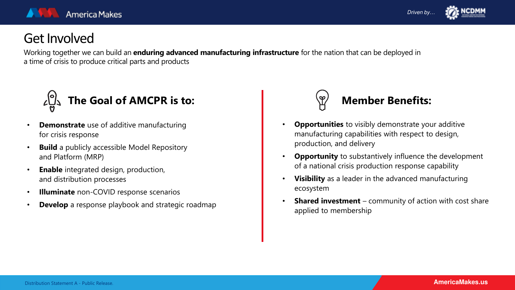



# Get Involved

Working together we can build an **enduring advanced manufacturing infrastructure** for the nation that can be deployed in a time of crisis to produce critical parts and products



- **Demonstrate** use of additive manufacturing for crisis response
- **Build** a publicly accessible Model Repository and Platform (MRP)
- **Enable** integrated design, production, and distribution processes
- **Illuminate** non-COVID response scenarios
- **Develop** a response playbook and strategic roadmap



- **Opportunities** to visibly demonstrate your additive manufacturing capabilities with respect to design, production, and delivery
- **Opportunity** to substantively influence the development of a national crisis production response capability
- **Visibility** as a leader in the advanced manufacturing ecosystem
- **Shared investment** community of action with cost share applied to membership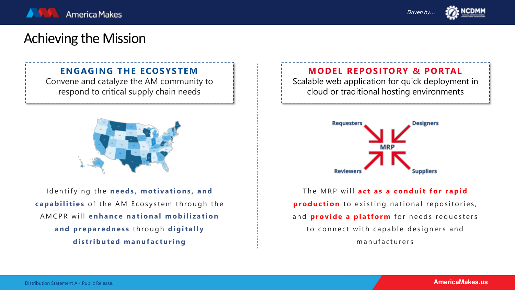



# Achieving the Mission

### **ENGAGING THE ECOSYSTEM**

Convene and catalyze the AM community to respond to critical supply chain needs



Identifying the **needs, motivations, and capabilities** of the AM Ecosystem through the AMCPR will **enhance national mobilization and preparedness** through **digitally distributed manufacturing**

**MODEL REPOSITORY & PORTAL**

Scalable web application for quick deployment in cloud or traditional hosting environments



The MRP will **act as a conduit for rapid production** to existing national repositories, and **provide a platform** for needs requesters to connect with capable designers and manufacturers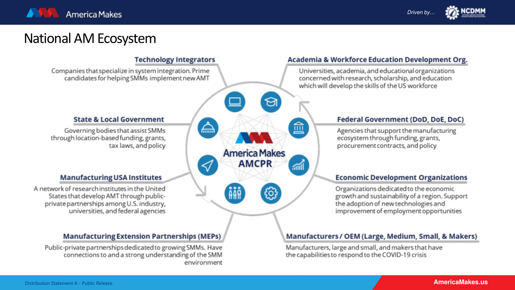

Driven by...



# National AM Ecosystem



### **AmericaMakes.us AmericaMakes.us**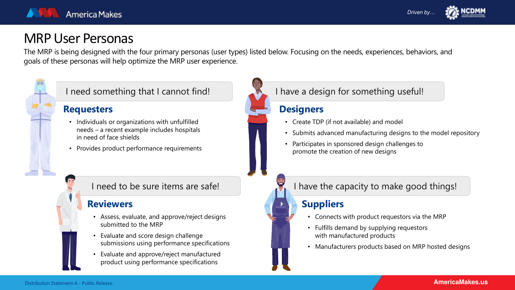



## MRP User Personas

The MRP is being designed with the four primary personas (user types) listed below. Focusing on the needs, experiences, behaviors, and goals of these personas will help optimize the MRP user experience.



### **Requesters**

- Individuals or organizations with unfulfilled needs – a recent example includes hospitals in need of face shields
- Provides product performance requirements

### **Reviewers**

- Assess, evaluate, and approve/reject designs submitted to the MRP
- Evaluate and score design challenge submissions using performance specifications
- Evaluate and approve/reject manufactured product using performance specifications

## I need something that I cannot find! I have a design for something useful!

### **Designers**

- Create TDP (if not available) and model
- Submits advanced manufacturing designs to the model repository
- Participates in sponsored design challenges to promote the creation of new designs

### I need to be sure items are safe! I have the capacity to make good things!

## **Suppliers**

- Connects with product requestors via the MRP
- Fulfills demand by supplying requestors with manufactured products
- Manufacturers products based on MRP hosted designs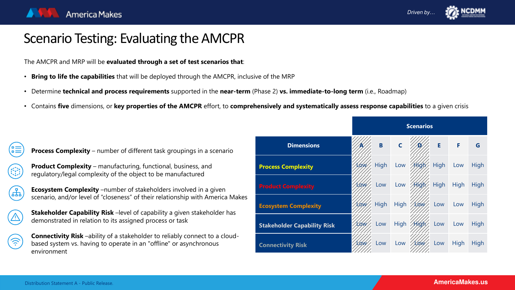

# Scenario Testing: Evaluating the AMCPR

The AMCPR and MRP will be **evaluated through a set of test scenarios that**:

- **Bring to life the capabilities** that will be deployed through the AMCPR, inclusive of the MRP
- Determine **technical and process requirements** supported in the **near-term** (Phase 2) **vs. immediate-to-long term** (i.e., Roadmap)
- Contains **five** dimensions, or **key properties of the AMCPR** effort, to **comprehensively and systematically assess response capabilities** to a given crisis

| <b>Process Complexity</b> – number of different task groupings in a scenario |  |  |
|------------------------------------------------------------------------------|--|--|
|                                                                              |  |  |

**Product Complexity** – manufacturing, functional, business, and regulatory/legal complexity of the object to be manufactured

**Ecosystem Complexity** –number of stakeholders involved in a given scenario, and/or level of "closeness" of their relationship with America Makes

**Stakeholder Capability Risk** –level of capability a given stakeholder has demonstrated in relation to its assigned process or task

**Connectivity Risk** –ability of a stakeholder to reliably connect to a cloudbased system vs. having to operate in an "offline" or asynchronous environment

|                                    | <b>Scenarios</b><br>$\mathsf{C}$<br>E<br>F<br>B<br>G<br><b>High</b><br>Low<br>High<br>$/$ High<br>Low<br>Low |      |             |              |      |             |             |
|------------------------------------|--------------------------------------------------------------------------------------------------------------|------|-------------|--------------|------|-------------|-------------|
| <b>Dimensions</b>                  |                                                                                                              |      |             |              |      |             |             |
| <b>Process Complexity</b>          |                                                                                                              |      |             |              |      |             | <b>High</b> |
| <b>Product Complexity</b>          | LOW,                                                                                                         | Low  | Low         | <b>High</b>  | High | <b>High</b> | High        |
| <b>Ecosystem Complexity</b>        | Low                                                                                                          | High | <b>High</b> | LOW          | Low  | Low         | High        |
| <b>Stakeholder Capability Risk</b> | Low                                                                                                          | Low  | <b>High</b> | <b>Aligh</b> | Low  | Low         | High        |
| <b>Connectivity Risk</b>           | Low/                                                                                                         | Low  | Low         | Low          | Low  | <b>High</b> | High        |

(¦≣

(ŦF)

 $\widehat{\gamma}$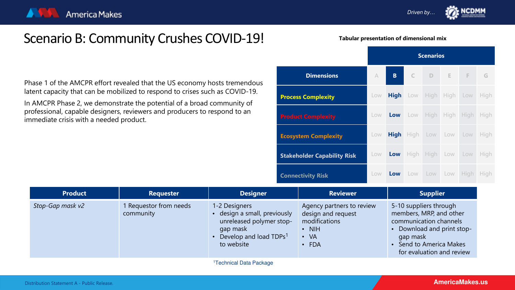Driven by…

# Scenario B: Community Crushes COVID-19!

**Tabular presentation of dimensional mix**

Phase 1 of the AMCPR effort revealed that the US economy hosts tremendous latent capacity that can be mobilized to respond to crises such as COVID-19.

In AMCPR Phase 2, we demonstrate the potential of a broad community of professional, capable designers, reviewers and producers to respond to an immediate crisis with a needed product.

|                                    |           | <b>Scenarios</b> |                        |                    |  |             |             |
|------------------------------------|-----------|------------------|------------------------|--------------------|--|-------------|-------------|
| <b>Dimensions</b>                  | $\forall$ | $B -$            |                        | C D E F G          |  |             |             |
| <b>Process Complexity</b>          | Low       | <b>High</b>      | Low High High Low High |                    |  |             |             |
| <b>Product Complexity</b>          | Low       | Low              |                        | Low High High High |  |             | <b>High</b> |
| <b>Ecosystem Complexity</b>        | Low       | <b>High</b>      |                        | High Low Low Low   |  |             | High        |
| <b>Stakeholder Capability Risk</b> | Low       | Low              |                        | High High Low Low  |  |             | High        |
| <b>Connectivity Risk</b>           | Low       | Low              | LOW                    | Low Low            |  | <b>High</b> | <b>High</b> |

| <b>Product</b>   | <b>Requester</b>                    | <b>Designer</b>                                                                                                                         | <b>Reviewer</b>                                                                                              | <b>Supplier</b>                                                                                                                                                               |
|------------------|-------------------------------------|-----------------------------------------------------------------------------------------------------------------------------------------|--------------------------------------------------------------------------------------------------------------|-------------------------------------------------------------------------------------------------------------------------------------------------------------------------------|
| Stop-Gap mask v2 | 1 Requestor from needs<br>community | 1-2 Designers<br>design a small, previously<br>unreleased polymer stop-<br>gap mask<br>Develop and load TDPs <sup>1</sup><br>to website | Agency partners to review<br>design and request<br>modifications<br>$\cdot$ NIH<br>$\cdot$ VA<br>$\cdot$ FDA | 5-10 suppliers through<br>members, MRP, and other<br>communication channels<br>• Download and print stop-<br>gap mask<br>• Send to America Makes<br>for evaluation and review |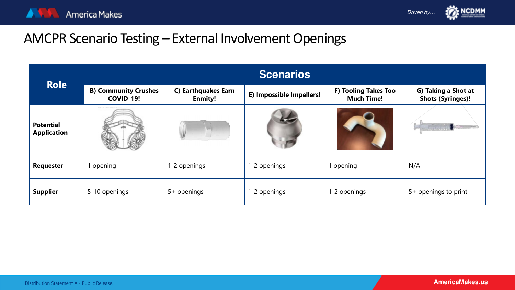



# AMCPR Scenario Testing – External Involvement Openings

| <b>Role</b>                            | <b>Scenarios</b>                                |                                       |                          |                                           |                                                 |  |  |  |
|----------------------------------------|-------------------------------------------------|---------------------------------------|--------------------------|-------------------------------------------|-------------------------------------------------|--|--|--|
|                                        | <b>B) Community Crushes</b><br><b>COVID-19!</b> | C) Earthquakes Earn<br><b>Enmity!</b> | E) Impossible Impellers! | F) Tooling Takes Too<br><b>Much Time!</b> | G) Taking a Shot at<br><b>Shots (Syringes)!</b> |  |  |  |
| <b>Potential</b><br><b>Application</b> |                                                 |                                       |                          |                                           |                                                 |  |  |  |
| <b>Requester</b>                       | opening                                         | 1-2 openings                          | 1-2 openings             | 1 opening                                 | N/A                                             |  |  |  |
| <b>Supplier</b>                        | 5-10 openings                                   | 5+ openings                           | 1-2 openings             | 1-2 openings                              | 5+ openings to print                            |  |  |  |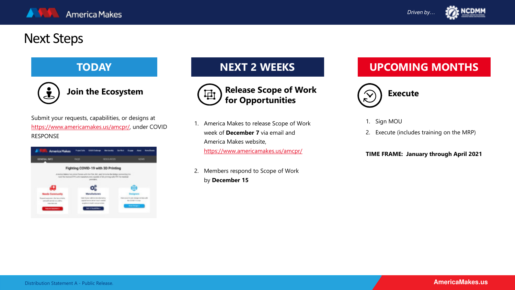

# Next Steps



**Join the Ecosystem**

Submit your requests, capabilities, or designs at [https://www.americamakes.us/amcpr/,](https://www.americamakes.us/amcpr/) under COVID RESPONSE

| <b>Road Date</b> | <b>Marchwold</b>                   |                                                                                                                                                                                                              |                                                         |                                                                                                                                                                                           |                                                                                                       |  |  |
|------------------|------------------------------------|--------------------------------------------------------------------------------------------------------------------------------------------------------------------------------------------------------------|---------------------------------------------------------|-------------------------------------------------------------------------------------------------------------------------------------------------------------------------------------------|-------------------------------------------------------------------------------------------------------|--|--|
| <b>FAGS</b>      |                                    |                                                                                                                                                                                                              |                                                         |                                                                                                                                                                                           |                                                                                                       |  |  |
|                  |                                    |                                                                                                                                                                                                              |                                                         |                                                                                                                                                                                           |                                                                                                       |  |  |
|                  |                                    |                                                                                                                                                                                                              |                                                         |                                                                                                                                                                                           |                                                                                                       |  |  |
| news days.       |                                    |                                                                                                                                                                                                              |                                                         |                                                                                                                                                                                           |                                                                                                       |  |  |
|                  |                                    |                                                                                                                                                                                                              |                                                         |                                                                                                                                                                                           |                                                                                                       |  |  |
|                  |                                    |                                                                                                                                                                                                              |                                                         |                                                                                                                                                                                           |                                                                                                       |  |  |
|                  |                                    |                                                                                                                                                                                                              |                                                         |                                                                                                                                                                                           |                                                                                                       |  |  |
|                  |                                    |                                                                                                                                                                                                              |                                                         |                                                                                                                                                                                           |                                                                                                       |  |  |
|                  | <b>CONTRACTOR CONTRACTOR</b><br>O. | <b>GABIS Challenge</b><br><b>Mary/actures</b><br>Collected groups and distinct record collections to<br>spotations to infrast machinesist<br>ancighets for leadily core privatients<br>behalf the stations a | <b>ACSOLIACES</b><br>Fighting COVID-19 with 3D Printing | America literature has pointed forces with the FOA, NIV, and NA to be the bridge commenting the<br>hasn't for marked \$190 with manufacturers required of 30 printing safe PPE for marked | <b>NEWS</b><br>Dentrona 10 units designs brittels with<br>the CEODE Charge.<br><b>Black Designant</b> |  |  |



- 1. America Makes to release Scope of Work week of **December 7** via email and America Makes website, <https://www.americamakes.us/amcpr/>
- 2. Members respond to Scope of Work by **December 15**

# **TODAY NEXT 2 WEEKS UPCOMING MONTHS**



- 1. Sign MOU
- 2. Execute (includes training on the MRP)

### **TIME FRAME: January through April 2021**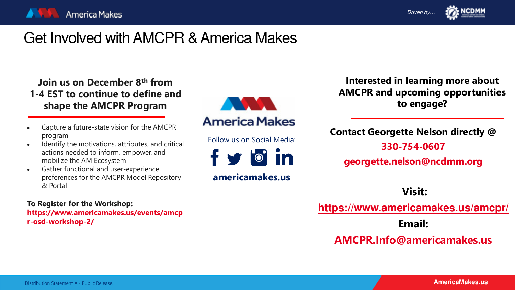

# Get Involved with AMCPR & America Makes

**Join us on December 8th from 1-4 EST to continue to define and shape the AMCPR Program** 

- Capture a future-state vision for the AMCPR program
- Identify the motivations, attributes, and critical actions needed to inform, empower, and mobilize the AM Ecosystem
- Gather functional and user-experience preferences for the AMCPR Model Repository & Portal

**To Register for the Workshop: [https://www.americamakes.us/events/amcp](https://www.americamakes.us/events/amcpr-osd-workshop-2/)**

**r-osd-workshop-2/**



**Interested in learning more about AMCPR and upcoming opportunities to engage?**

**Contact Georgette Nelson directly @ [330-754-0607](mailto:Georgette.nelson@ncdmm.org)**

**[georgette.nelson@ncdmm.org](mailto:Georgette.nelson@ncdmm.org)**

**Visit:**

**<https://www.americamakes.us/amcpr/>**

**Email:**

**[AMCPR.Info@americamakes.us](mailto:AMCPR.Info@americamakes.us)**